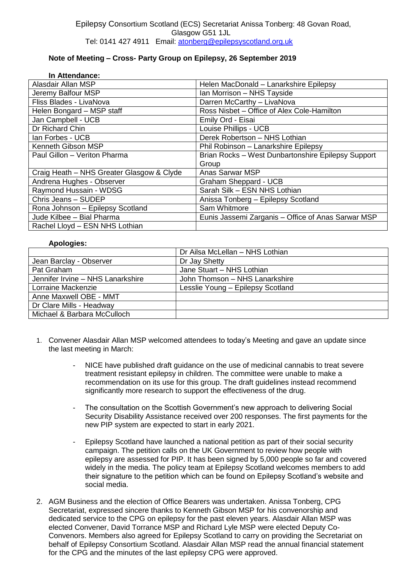## **Note of Meeting – Cross- Party Group on Epilepsy, 26 September 2019**

| In Attendance:                            |                                                    |
|-------------------------------------------|----------------------------------------------------|
| Alasdair Allan MSP                        | Helen MacDonald - Lanarkshire Epilepsy             |
| Jeremy Balfour MSP                        | Ian Morrison - NHS Tayside                         |
| Fliss Blades - LivaNova                   | Darren McCarthy - LivaNova                         |
| Helen Bongard - MSP staff                 | Ross Nisbet - Office of Alex Cole-Hamilton         |
| Jan Campbell - UCB                        | Emily Ord - Eisai                                  |
| Dr Richard Chin                           | Louise Phillips - UCB                              |
| Ian Forbes - UCB                          | Derek Robertson - NHS Lothian                      |
| Kenneth Gibson MSP                        | Phil Robinson - Lanarkshire Epilepsy               |
| Paul Gillon - Veriton Pharma              | Brian Rocks - West Dunbartonshire Epilepsy Support |
|                                           | Group                                              |
| Craig Heath - NHS Greater Glasgow & Clyde | <b>Anas Sarwar MSP</b>                             |
| Andrena Hughes - Observer                 | Graham Sheppard - UCB                              |
| Raymond Hussain - WDSG                    | Sarah Silk - ESN NHS Lothian                       |
| Chris Jeans - SUDEP                       | Anissa Tonberg - Epilepsy Scotland                 |
| Rona Johnson - Epilepsy Scotland          | Sam Whitmore                                       |
| Jude Kilbee - Bial Pharma                 | Eunis Jassemi Zarganis - Office of Anas Sarwar MSP |
| Rachel Lloyd - ESN NHS Lothian            |                                                    |

## **Apologies:**

|                                   | Dr Ailsa McLellan - NHS Lothian   |
|-----------------------------------|-----------------------------------|
| Jean Barclay - Observer           | Dr Jay Shetty                     |
| Pat Graham                        | Jane Stuart - NHS Lothian         |
| Jennifer Irvine - NHS Lanarkshire | John Thomson - NHS Lanarkshire    |
| Lorraine Mackenzie                | Lesslie Young - Epilepsy Scotland |
| Anne Maxwell OBE - MMT            |                                   |
| Dr Clare Mills - Headway          |                                   |
| Michael & Barbara McCulloch       |                                   |

- 1. Convener Alasdair Allan MSP welcomed attendees to today's Meeting and gave an update since the last meeting in March:
	- NICE have published draft guidance on the use of medicinal cannabis to treat severe treatment resistant epilepsy in children. The committee were unable to make a recommendation on its use for this group. The draft guidelines instead recommend significantly more research to support the effectiveness of the drug.
	- The consultation on the Scottish Government's new approach to delivering Social Security Disability Assistance received over 200 responses. The first payments for the new PIP system are expected to start in early 2021.
	- Epilepsy Scotland have launched a national petition as part of their social security campaign. The petition calls on the UK Government to review how people with epilepsy are assessed for PIP. It has been signed by 5,000 people so far and covered widely in the media. The policy team at Epilepsy Scotland welcomes members to add their signature to the petition which can be found on Epilepsy Scotland's website and social media.
- 2. AGM Business and the election of Office Bearers was undertaken. Anissa Tonberg, CPG Secretariat, expressed sincere thanks to Kenneth Gibson MSP for his convenorship and dedicated service to the CPG on epilepsy for the past eleven years. Alasdair Allan MSP was elected Convener, David Torrance MSP and Richard Lyle MSP were elected Deputy Co-Convenors. Members also agreed for Epilepsy Scotland to carry on providing the Secretariat on behalf of Epilepsy Consortium Scotland. Alasdair Allan MSP read the annual financial statement for the CPG and the minutes of the last epilepsy CPG were approved.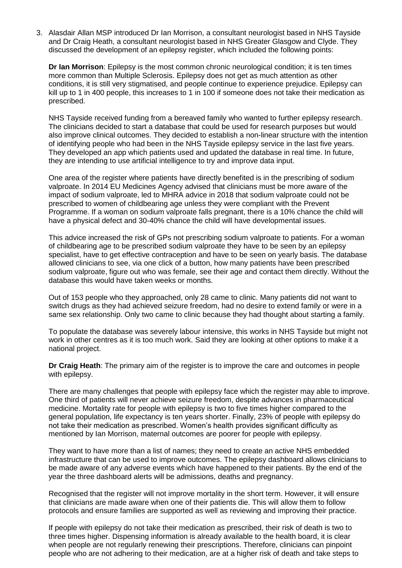3. Alasdair Allan MSP introduced Dr Ian Morrison, a consultant neurologist based in NHS Tayside and Dr Craig Heath, a consultant neurologist based in NHS Greater Glasgow and Clyde. They discussed the development of an epilepsy register, which included the following points:

**Dr Ian Morrison**: Epilepsy is the most common chronic neurological condition; it is ten times more common than Multiple Sclerosis. Epilepsy does not get as much attention as other conditions, it is still very stigmatised, and people continue to experience prejudice. Epilepsy can kill up to 1 in 400 people, this increases to 1 in 100 if someone does not take their medication as prescribed.

NHS Tayside received funding from a bereaved family who wanted to further epilepsy research. The clinicians decided to start a database that could be used for research purposes but would also improve clinical outcomes. They decided to establish a non-linear structure with the intention of identifying people who had been in the NHS Tayside epilepsy service in the last five years. They developed an app which patients used and updated the database in real time. In future, they are intending to use artificial intelligence to try and improve data input.

One area of the register where patients have directly benefited is in the prescribing of sodium valproate. In 2014 EU Medicines Agency advised that clinicians must be more aware of the impact of sodium valproate, led to MHRA advice in 2018 that sodium valproate could not be prescribed to women of childbearing age unless they were compliant with the Prevent Programme. If a woman on sodium valproate falls pregnant, there is a 10% chance the child will have a physical defect and 30-40% chance the child will have developmental issues.

This advice increased the risk of GPs not prescribing sodium valproate to patients. For a woman of childbearing age to be prescribed sodium valproate they have to be seen by an epilepsy specialist, have to get effective contraception and have to be seen on yearly basis. The database allowed clinicians to see, via one click of a button, how many patients have been prescribed sodium valproate, figure out who was female, see their age and contact them directly. Without the database this would have taken weeks or months.

Out of 153 people who they approached, only 28 came to clinic. Many patients did not want to switch drugs as they had achieved seizure freedom, had no desire to extend family or were in a same sex relationship. Only two came to clinic because they had thought about starting a family.

To populate the database was severely labour intensive, this works in NHS Tayside but might not work in other centres as it is too much work. Said they are looking at other options to make it a national project.

**Dr Craig Heath**: The primary aim of the register is to improve the care and outcomes in people with epilepsy.

There are many challenges that people with epilepsy face which the register may able to improve. One third of patients will never achieve seizure freedom, despite advances in pharmaceutical medicine. Mortality rate for people with epilepsy is two to five times higher compared to the general population, life expectancy is ten years shorter. Finally, 23% of people with epilepsy do not take their medication as prescribed. Women's health provides significant difficulty as mentioned by Ian Morrison, maternal outcomes are poorer for people with epilepsy.

They want to have more than a list of names; they need to create an active NHS embedded infrastructure that can be used to improve outcomes. The epilepsy dashboard allows clinicians to be made aware of any adverse events which have happened to their patients. By the end of the year the three dashboard alerts will be admissions, deaths and pregnancy.

Recognised that the register will not improve mortality in the short term. However, it will ensure that clinicians are made aware when one of their patients die. This will allow them to follow protocols and ensure families are supported as well as reviewing and improving their practice.

If people with epilepsy do not take their medication as prescribed, their risk of death is two to three times higher. Dispensing information is already available to the health board, it is clear when people are not regularly renewing their prescriptions. Therefore, clinicians can pinpoint people who are not adhering to their medication, are at a higher risk of death and take steps to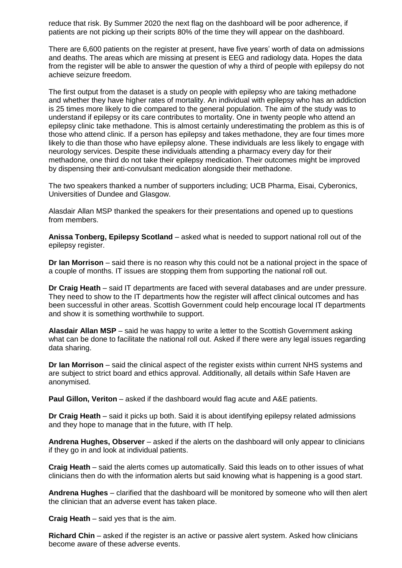reduce that risk. By Summer 2020 the next flag on the dashboard will be poor adherence, if patients are not picking up their scripts 80% of the time they will appear on the dashboard.

There are 6,600 patients on the register at present, have five years' worth of data on admissions and deaths. The areas which are missing at present is EEG and radiology data. Hopes the data from the register will be able to answer the question of why a third of people with epilepsy do not achieve seizure freedom.

The first output from the dataset is a study on people with epilepsy who are taking methadone and whether they have higher rates of mortality. An individual with epilepsy who has an addiction is 25 times more likely to die compared to the general population. The aim of the study was to understand if epilepsy or its care contributes to mortality. One in twenty people who attend an epilepsy clinic take methadone. This is almost certainly underestimating the problem as this is of those who attend clinic. If a person has epilepsy and takes methadone, they are four times more likely to die than those who have epilepsy alone. These individuals are less likely to engage with neurology services. Despite these individuals attending a pharmacy every day for their methadone, one third do not take their epilepsy medication. Their outcomes might be improved by dispensing their anti-convulsant medication alongside their methadone.

The two speakers thanked a number of supporters including; UCB Pharma, Eisai, Cyberonics, Universities of Dundee and Glasgow.

Alasdair Allan MSP thanked the speakers for their presentations and opened up to questions from members.

**Anissa Tonberg, Epilepsy Scotland** – asked what is needed to support national roll out of the epilepsy register.

**Dr Ian Morrison** – said there is no reason why this could not be a national project in the space of a couple of months. IT issues are stopping them from supporting the national roll out.

**Dr Craig Heath** – said IT departments are faced with several databases and are under pressure. They need to show to the IT departments how the register will affect clinical outcomes and has been successful in other areas. Scottish Government could help encourage local IT departments and show it is something worthwhile to support.

**Alasdair Allan MSP** – said he was happy to write a letter to the Scottish Government asking what can be done to facilitate the national roll out. Asked if there were any legal issues regarding data sharing.

**Dr Ian Morrison** – said the clinical aspect of the register exists within current NHS systems and are subject to strict board and ethics approval. Additionally, all details within Safe Haven are anonymised.

**Paul Gillon, Veriton** – asked if the dashboard would flag acute and A&E patients.

**Dr Craig Heath** – said it picks up both. Said it is about identifying epilepsy related admissions and they hope to manage that in the future, with IT help.

**Andrena Hughes, Observer** – asked if the alerts on the dashboard will only appear to clinicians if they go in and look at individual patients.

**Craig Heath** – said the alerts comes up automatically. Said this leads on to other issues of what clinicians then do with the information alerts but said knowing what is happening is a good start.

**Andrena Hughes** – clarified that the dashboard will be monitored by someone who will then alert the clinician that an adverse event has taken place.

**Craig Heath** – said yes that is the aim.

**Richard Chin** – asked if the register is an active or passive alert system. Asked how clinicians become aware of these adverse events.